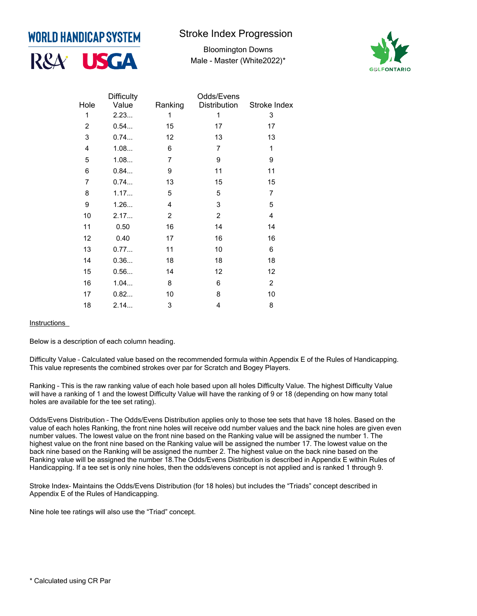

## **Stroke Index Progression**

Bloomington Downs Male - Master (White2022)\*



|                         | <b>Difficulty</b> |                | Odds/Evens     |                |
|-------------------------|-------------------|----------------|----------------|----------------|
| Hole                    | Value             | Ranking        | Distribution   | Stroke Index   |
| 1                       | 2.23              | 1              | 1              | 3              |
| $\overline{c}$          | 0.54              | 15             | 17             | 17             |
| $\mathsf 3$             | 0.74              | 12             | 13             | 13             |
| $\overline{\mathbf{4}}$ | 1.08              | 6              | $\overline{7}$ | $\mathbf{1}$   |
| 5                       | 1.08              | $\overline{7}$ | 9              | 9              |
| 6                       | 0.84              | 9              | 11             | 11             |
| $\overline{7}$          | 0.74              | 13             | 15             | 15             |
| 8                       | 1.17              | 5              | 5              | $\overline{7}$ |
| 9                       | 1.26              | 4              | 3              | 5              |
| 10                      | 2.17              | $\overline{c}$ | $\overline{c}$ | 4              |
| 11                      | 0.50              | 16             | 14             | 14             |
| 12                      | 0.40              | 17             | 16             | 16             |
| 13                      | 0.77              | 11             | 10             | 6              |
| 14                      | 0.36              | 18             | 18             | 18             |
| 15                      | 0.56              | 14             | 12             | 12             |
| 16                      | 1.04              | 8              | 6              | $\overline{2}$ |
| 17                      | 0.82              | 10             | 8              | 10             |
| 18                      | 2.14              | 3              | 4              | 8              |

**Instructions** 

Below is a description of each column heading.

Difficulty Value – Calculated value based on the recommended formula within Appendix E of the Rules of Handicapping. This value represents the combined strokes over par for Scratch and Bogey Players.

Ranking – This is the raw ranking value of each hole based upon all holes Difficulty Value. The highest Difficulty Value will have a ranking of 1 and the lowest Difficulty Value will have the ranking of 9 or 18 (depending on how many total holes are available for the tee set rating).

Odds/Evens Distribution – The Odds/Evens Distribution applies only to those tee sets that have 18 holes. Based on the value of each holes Ranking, the front nine holes will receive odd number values and the back nine holes are given even number values. The lowest value on the front nine based on the Ranking value will be assigned the number 1. The highest value on the front nine based on the Ranking value will be assigned the number 17. The lowest value on the back nine based on the Ranking will be assigned the number 2. The highest value on the back nine based on the Ranking value will be assigned the number 18.The Odds/Evens Distribution is described in Appendix E within Rules of Handicapping. If a tee set is only nine holes, then the odds/evens concept is not applied and is ranked 1 through 9.

Stroke Index– Maintains the Odds/Evens Distribution (for 18 holes) but includes the "Triads" concept described in Appendix E of the Rules of Handicapping.

Nine hole tee ratings will also use the "Triad" concept.